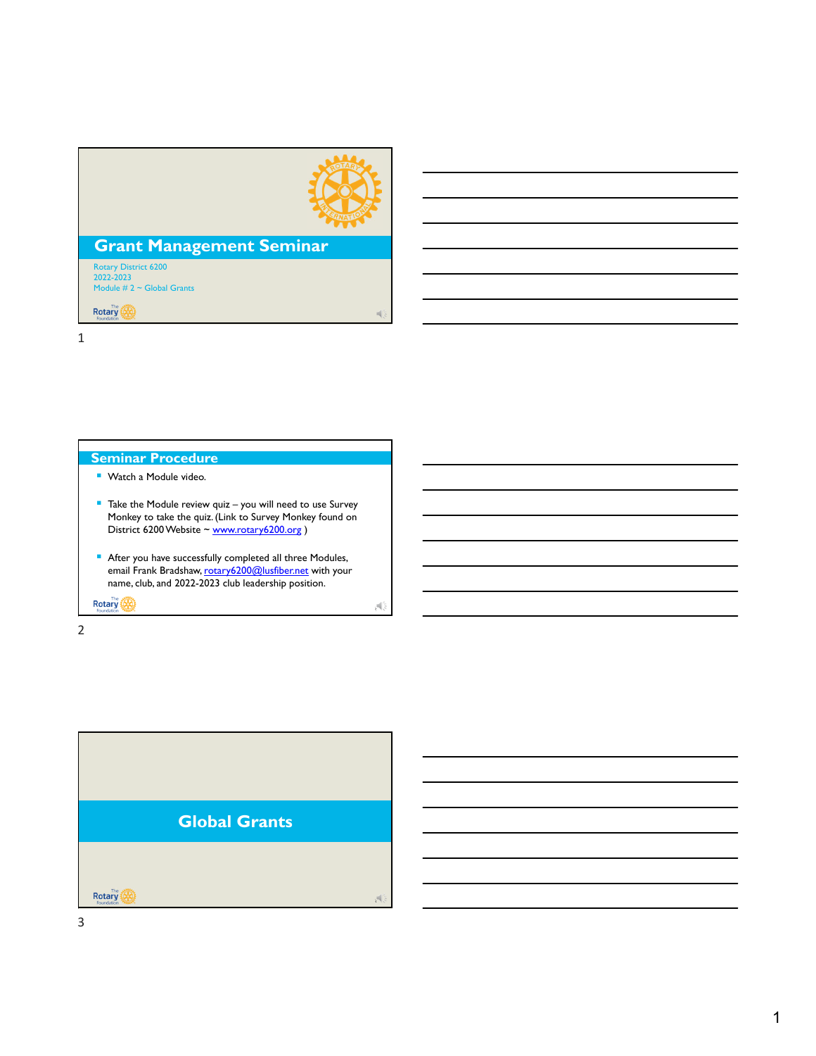

i.

 $A$ 

# **Grant Management Seminar**

Rotary District 6200 2022-2023 Module # 2 ~ Global Grants

**Rotary** 

1

- **Seminar Procedure Watch a Module video.**
- Take the Module review quiz you will need to use Survey Monkey to take the quiz. (Link to Survey Monkey found on District 6200 Website ~ www.rotary6200.org )
- After you have successfully completed all three Modules, email Frank Bradshaw, rotary6200@lusfiber.net with your name, club, and 2022-2023 club leadership position.

Rotary **1989** 

2

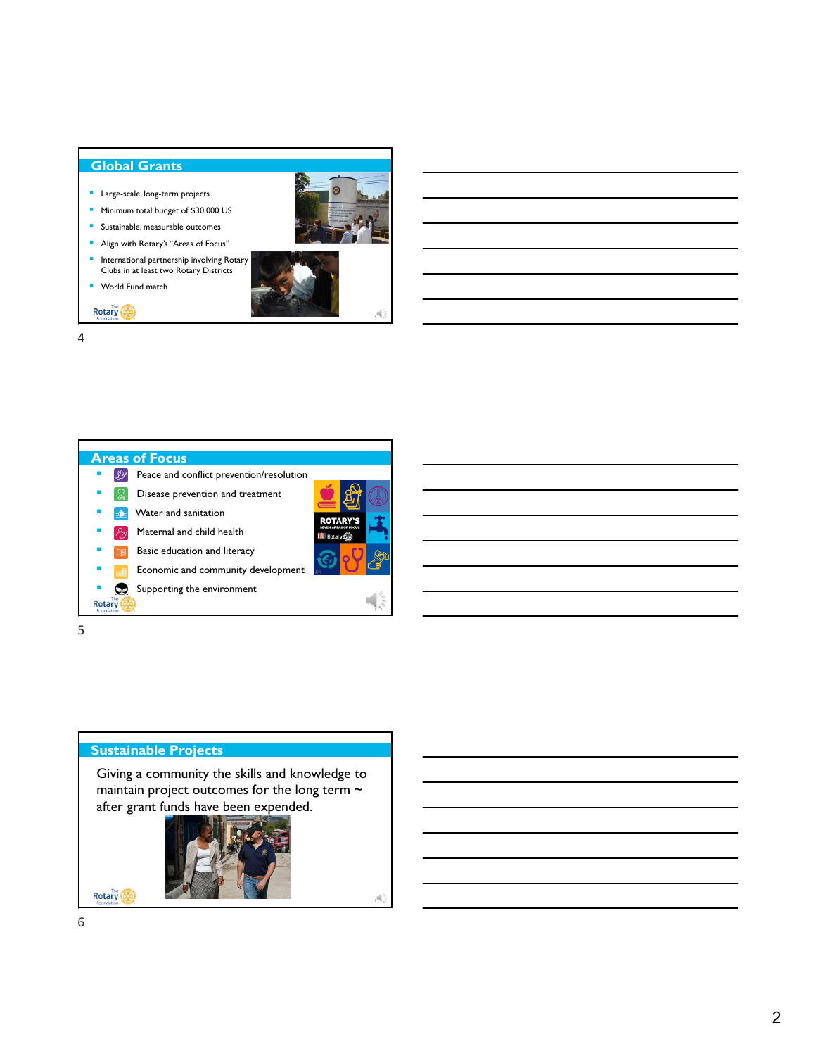#### **Global Grants**

- **Large-scale, long-term projects**
- **Minimum total budget of \$30,000 US**
- **Sustainable, measurable outcomes**
- **Align with Rotary's "Areas of Focus"**
- **International partnership involving Rotary** Clubs in at least two Rotary Districts



Rotary (A)



4



5

# **Sustainable Projects**

Giving a community the skills and knowledge to maintain project outcomes for the long term ~ after grant funds have been expended.



6

**Rotary**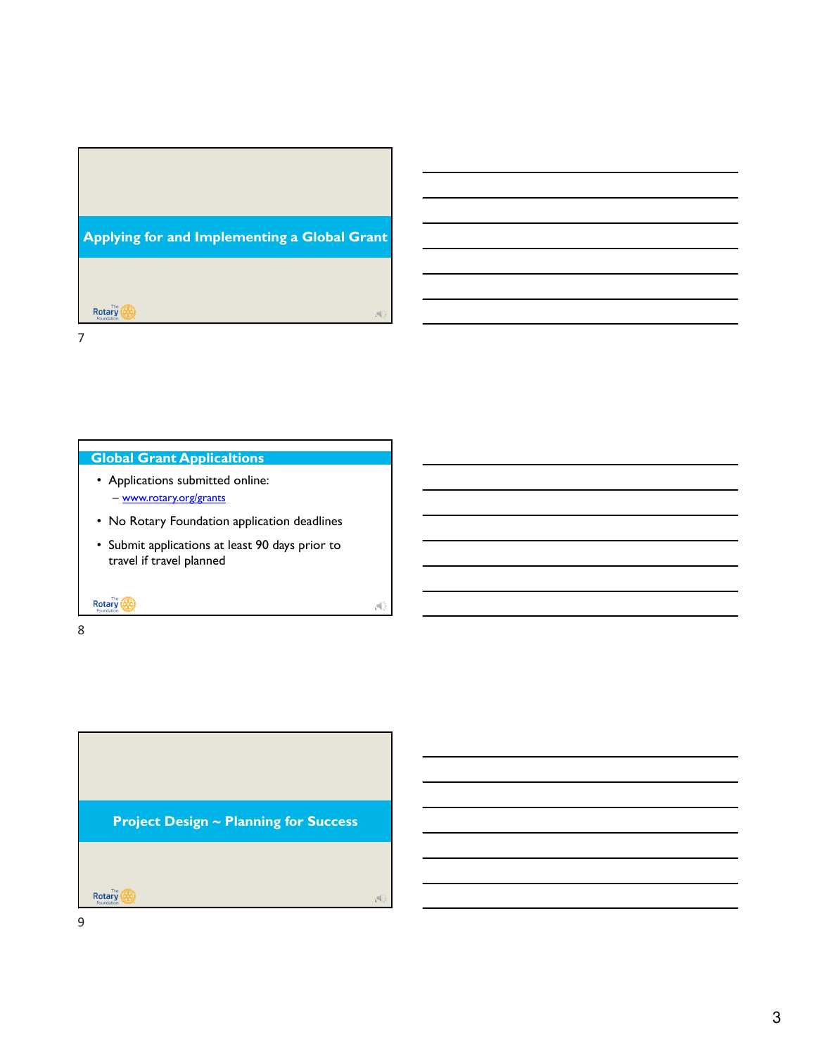

## **Global Grant Applicaltions**

- Applications submitted online: – www.rotary.org/grants
- No Rotary Foundation application deadlines
- Submit applications at least 90 days prior to travel if travel planned

8

Rotary (A)

8

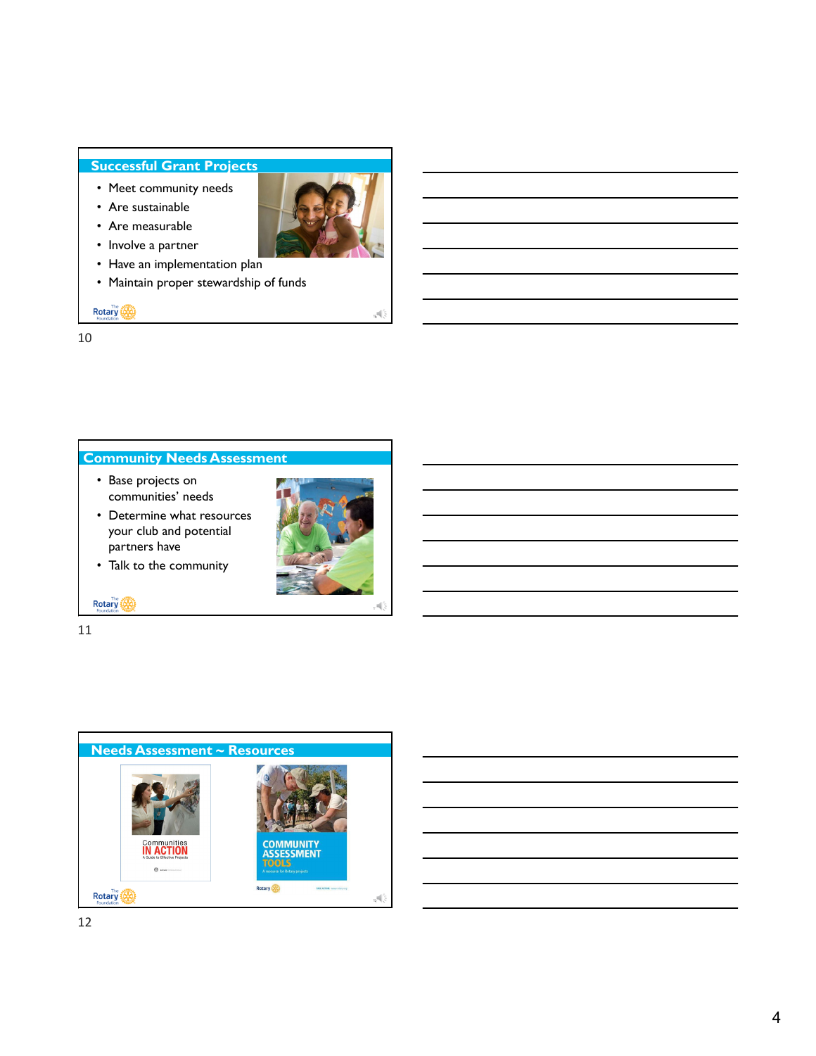## **Successful Grant Projects**

- Meet community needs
- Are sustainable



- Involve a partner
- Have an implementation plan
- Maintain proper stewardship of funds

Rotary (A)

10

## **Community Needs Assessment**

- Base projects on communities' needs
- Determine what resources your club and potential partners have





10

11

**Rotary** 

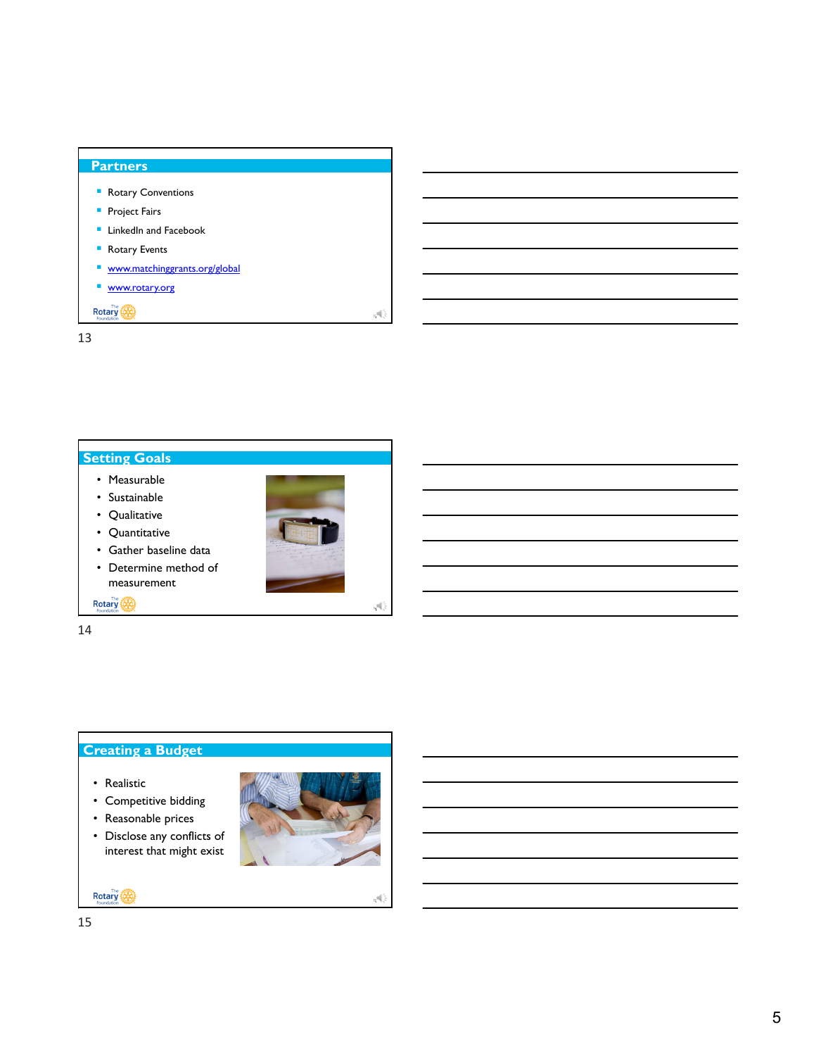

13



14

## **Creating a Budget**

- Realistic
- Competitive bidding
- Reasonable prices
- Disclose any conflicts of interest that might exist



15

**Rotary**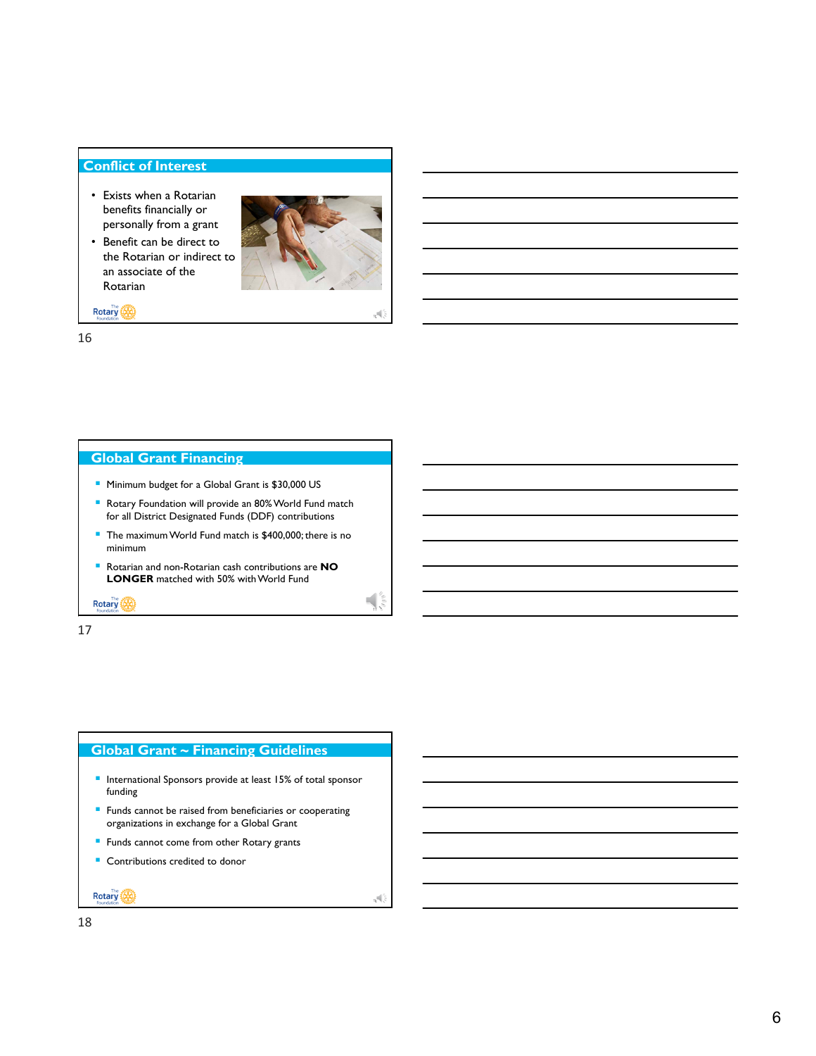#### **Conflict of Interest**

- Exists when a Rotarian benefits financially or personally from a grant
- Benefit can be direct to the Rotarian or indirect to an associate of the Rotarian



Rotary

16

## **Global Grant Financing**

- **Minimum budget for a Global Grant is \$30,000 US**
- Rotary Foundation will provide an 80% World Fund match for all District Designated Funds (DDF) contributions
- The maximum World Fund match is \$400,000; there is no minimum
- Rotarian and non-Rotarian cash contributions are **NO LONGER** matched with 50% with World Fund

**Rotary** 

17

#### **Global Grant ~ Financing Guidelines**

- **International Sponsors provide at least 15% of total sponsor** funding
- **Funds cannot be raised from beneficiaries or cooperating** organizations in exchange for a Global Grant
- **Funds cannot come from other Rotary grants**
- **Contributions credited to donor**

Rotary (A)

18

17

 $\overline{\mathbb{R}}$ 

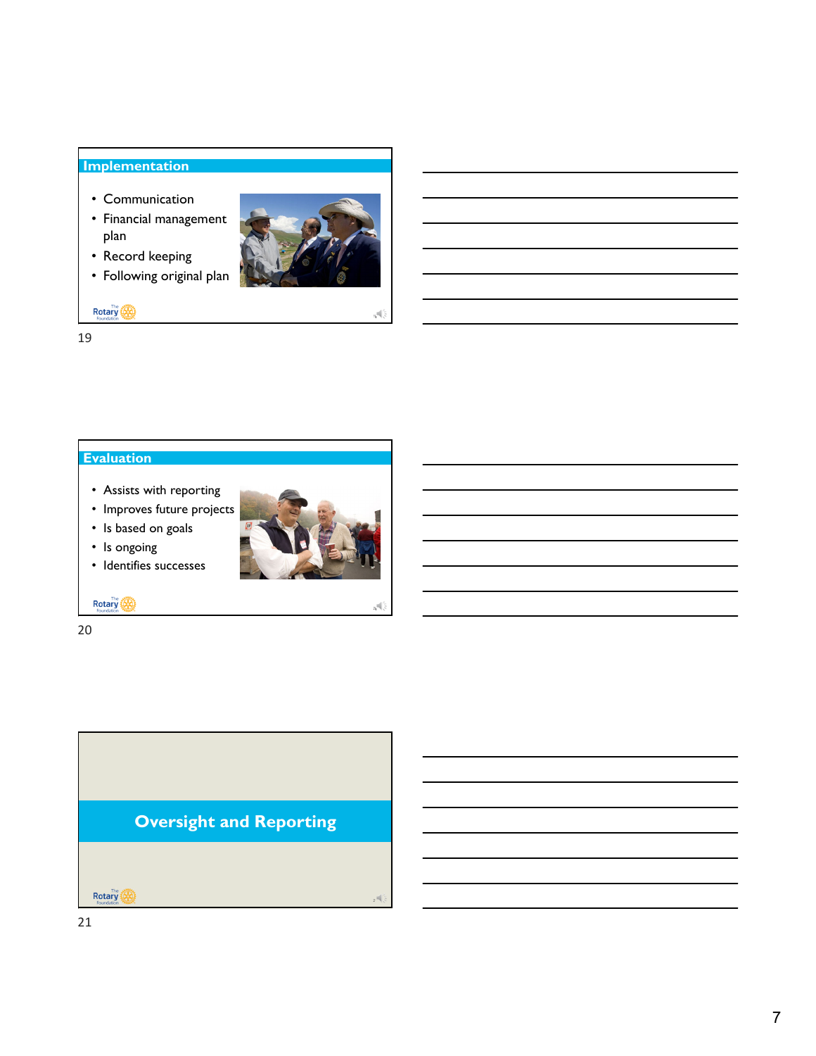## **Implementation**

- Communication
- Financial management plan
- Record keeping
- Following original plan



Rotary (A)

19

## **Evaluation**

- Assists with reporting
- Improves future projects
- Is based on goals



• Identifies successes



20

**Rotary** 

20

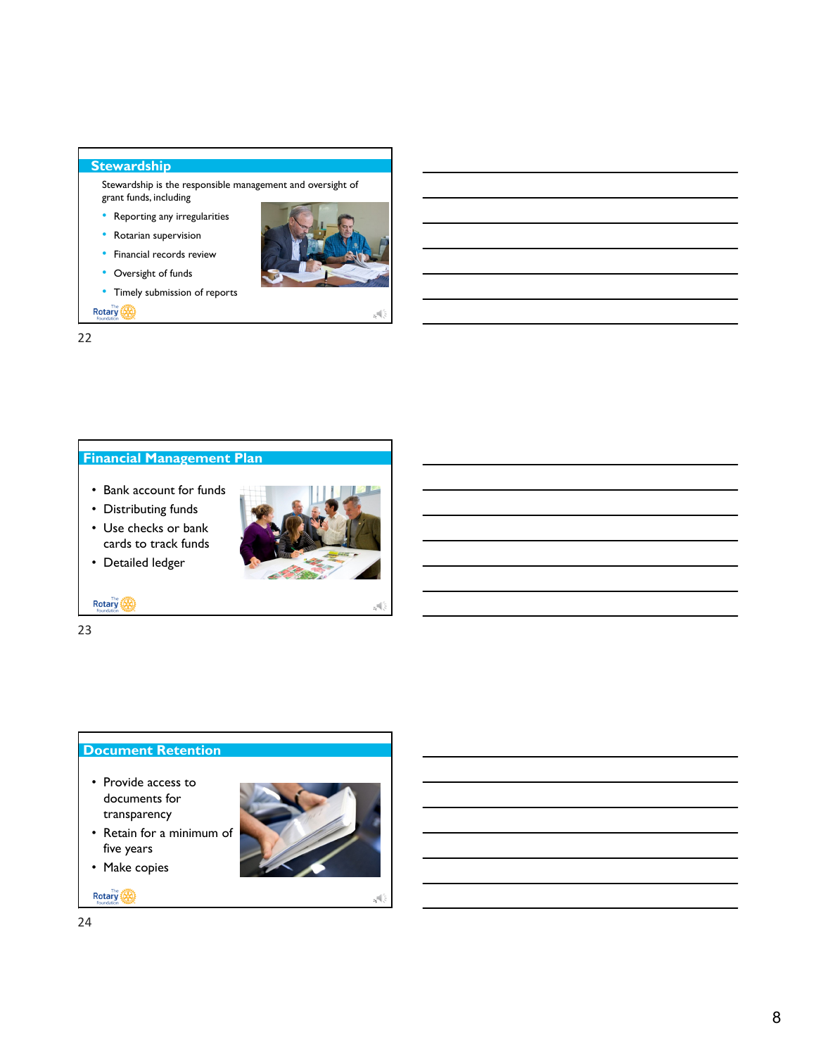### **Stewardship**

Stewardship is the responsible management and oversight of grant funds, including

- Reporting any irregularities
- Rotarian supervision
- Financial records review
- Oversight of funds
- Timely submission of reports

Rotary (A)

22



- Bank account for funds
- Distributing funds

• Detailed ledger

• Use checks or bank cards to track funds



**Rotary** 

23

#### **Document Retention**

- Provide access to documents for transparency
- five years • Make copies
- 

**Rotary** 



24

23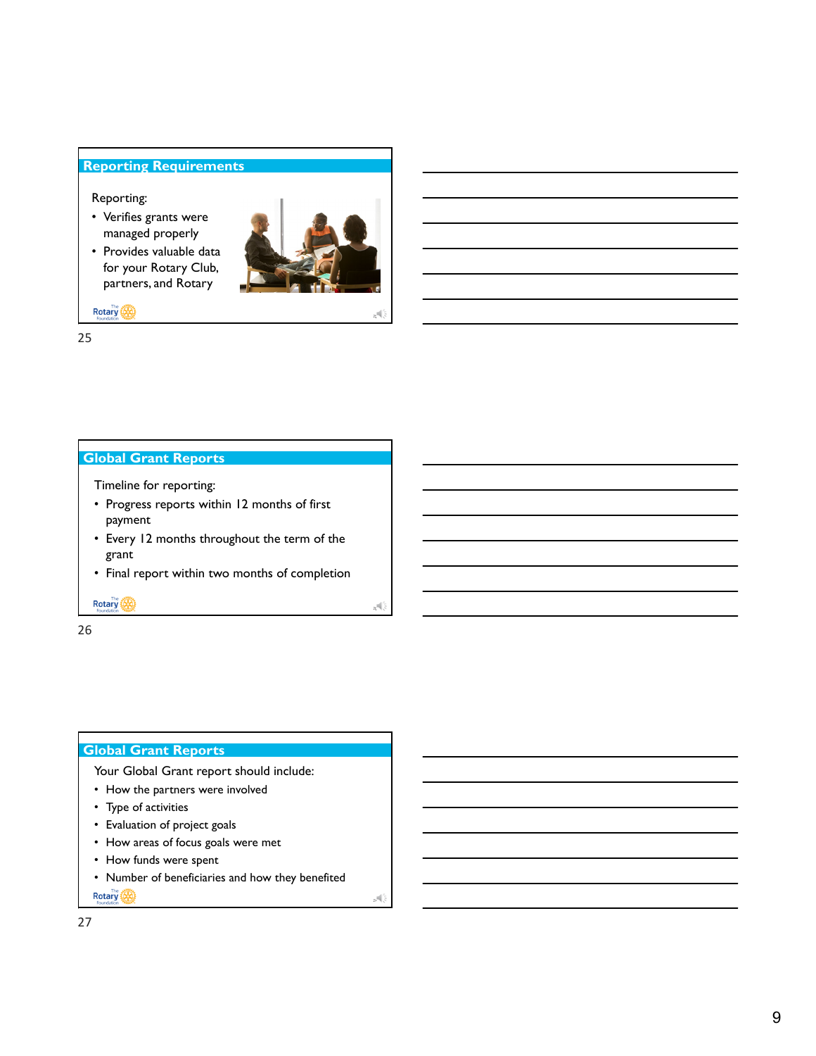#### **Reporting Requirements**

#### Reporting:

- Verifies grants were managed properly
- Provides valuable data for your Rotary Club, partners, and Rotary



26

27

Rotary (A)

25

#### **Global Grant Reports**

- Timeline for reporting:
- Progress reports within 12 months of first payment
- Every 12 months throughout the term of the grant
- Final report within two months of completion

**Rotary** 

26

## **Global Grant Reports**

- Your Global Grant report should include:
- How the partners were involved
- Type of activities
- Evaluation of project goals
- How areas of focus goals were met
- How funds were spent
- Number of beneficiaries and how they benefited

Rotary **The State**